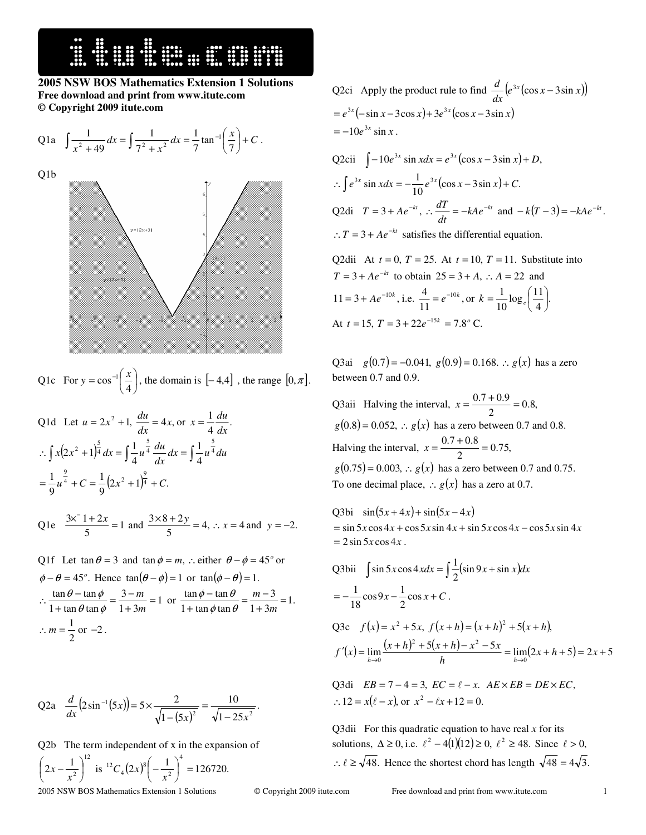

**2005 NSW BOS Mathematics Extension 1 Solutions Free download and print from www.itute.com © Copyright 2009 itute.com**

Q1a 
$$
\int \frac{1}{x^2 + 49} dx = \int \frac{1}{7^2 + x^2} dx = \frac{1}{7} \tan^{-1}(\frac{x}{7}) + C
$$
.  
Q1b  
 $\int \frac{1}{(7 - 12x + 3)}$ 

Q1c For  $y = cos^{-1}\left(\frac{x}{4}\right)$  $\left(\frac{x}{x}\right)$ l  $=\cos^{-1}\left(\frac{1}{2}\right)$  $y = \cos^{-1}\left(\frac{x}{4}\right)$ , the domain is  $[-4,4]$ , the range  $[0, \pi]$ .

Q1d Let 
$$
u = 2x^2 + 1
$$
,  $\frac{du}{dx} = 4x$ , or  $x = \frac{1}{4} \frac{du}{dx}$ .  
\n
$$
\therefore \int x(2x^2 + 1)^{\frac{5}{4}} dx = \int \frac{1}{4} u^{\frac{5}{4}} \frac{du}{dx} dx = \int \frac{1}{4} u^{\frac{5}{4}} du
$$
\n
$$
= \frac{1}{9} u^{\frac{9}{4}} + C = \frac{1}{9} (2x^2 + 1)^{\frac{9}{4}} + C.
$$

Q1e 
$$
\frac{3x-1+2x}{5} = 1
$$
 and  $\frac{3\times8+2y}{5} = 4$ ,  $\therefore$  x = 4 and y = -2.

Q1f Let  $\tan \theta = 3$  and  $\tan \phi = m$ , ∴either  $\theta - \phi = 45^\circ$  or  $\phi - \theta = 45^\circ$ . Hence  $\tan(\theta - \phi) = 1$  or  $\tan(\phi - \theta) = 1$ .  $\frac{5}{1+3m} = 1$ 3  $1 + \tan \theta \tan$  $\frac{\tan\theta - \tan\phi}{\theta + \tan\theta \tan\phi} = \frac{3-m}{1+3m} =$  $\therefore \frac{\tan \theta - \tan \phi}{1 + \tan \theta \tan \phi} = \frac{3 - m}{1 + 3m}$ *m*  $\theta$  tan  $\phi$  $\frac{\theta - \tan \phi}{\tan \theta \tan \phi} = \frac{3 - m}{1 + 3m} = 1$  or  $\frac{\tan \phi - \tan \theta}{1 + \tan \phi \tan \theta} = \frac{m - 3}{1 + 3m} = 1$ . 3  $1 + \tan \phi \tan$  $\frac{\tan \phi - \tan \theta}{\tan \phi \tan \theta} = \frac{m-3}{1+3m} =$  $\frac{\text{an }\phi - \text{tan }\theta}{\text{+ tan }\phi \text{ tan }\theta} = \frac{m - \theta}{1 + 3}$ − *m m*  $\phi$  tan  $\theta$  $\phi$  – tan  $\theta$ ∴  $m = \frac{1}{2}$  or  $-2$ .

Q2a 
$$
\frac{d}{dx}(2\sin^{-1}(5x)) = 5 \times \frac{2}{\sqrt{1-(5x)^2}} = \frac{10}{\sqrt{1-25x^2}}
$$

Q2b The term independent of x in the expansion of 12  $2x-\frac{1}{x^2}$  $\left(2x-\frac{1}{2}\right)$  $\int 2x$  $x - \frac{1}{x^2}$  is <sup>12</sup>C<sub>4</sub>  $(2x)^8$  $\left(-\frac{1}{x^2}\right)^7$  = 126720. 4  $^{12}C_4(2x)^8\left(-\frac{1}{x^2}\right)$  =  $\left(-\frac{1}{2}\right)$  −  $C_4(2x)$ 

l

2

*x*

Q2ci Apply the product rule to find 
$$
\frac{d}{dx} (e^{3x} (\cos x - 3 \sin x))
$$

$$
= e^{3x} (-\sin x - 3\cos x) + 3e^{3x} (\cos x - 3\sin x)
$$

$$
= -10e^{3x} \sin x.
$$

Q2cii 
$$
\int -10e^{3x} \sin x dx = e^{3x} (\cos x - 3\sin x) + D
$$
,  
\n $\therefore \int e^{3x} \sin x dx = -\frac{1}{10} e^{3x} (\cos x - 3\sin x) + C$ .  
\nQ2di  $T = 3 + Ae^{-kt}$ ,  $\therefore \frac{dT}{dt} = -kAe^{-kt}$  and  $-k(T-3) = -kAe^{-kt}$ .  
\n $\therefore T = 3 + Ae^{-kt}$  satisfies the differential equation.

O2dii At  $t = 0$ ,  $T = 25$ . At  $t = 10$ ,  $T = 11$ . Substitute into  $T = 3 + Ae^{-kt}$  to obtain  $25 = 3 + A$ , ∴  $A = 22$  and  $11 = 3 + Ae^{-10k}$ , i.e.  $\frac{4}{11} = e^{-10k}$ ,  $\frac{4}{11} = e^{-10k}$ , or  $k = \frac{1}{10} \log_e \left( \frac{11}{4} \right)$ .  $\frac{1}{2}$ log<sub>e</sub> $\left(\frac{11}{2}\right)$ J  $\left(\frac{11}{1}\right)$ l  $k = \frac{1}{10} \log_e$ At  $t = 15$ ,  $T = 3 + 22e^{-15k} = 7.8^{\circ}$  C.

Q3ai  $g(0.7) = -0.041$ ,  $g(0.9) = 0.168$ . ∴  $g(x)$  has a zero between 0.7 and 0.9.

Q3aii Halving the interval,  $x = \frac{817 + 815}{2} = 0.8$ ,  $x = \frac{0.7 + 0.9}{2}$  $g(0.8) = 0.052$ , ∴  $g(x)$  has a zero between 0.7 and 0.8. Halving the interval,  $x = \frac{0.7 \times 0.0}{2} = 0.75$ ,  $x = \frac{0.7 + 0.8}{2}$  $g(0.75) = 0.003$ , ∴  $g(x)$  has a zero between 0.7 and 0.75. To one decimal place,  $\therefore g(x)$  has a zero at 0.7.

Q3bi  $\sin(5x+4x) + \sin(5x-4x)$  $=$  sin 5*x* cos 4*x* + cos 5*x* sin 4*x* + sin 5*x* cos 4*x* – cos 5*x* sin 4*x*  $= 2 \sin 5x \cos 4x$ .

Q3bii 
$$
\int \sin 5x \cos 4x dx = \int \frac{1}{2} (\sin 9x + \sin x) dx
$$
  
=  $-\frac{1}{18} \cos 9x - \frac{1}{2} \cos x + C$ .  
Q3c  $f(x) = x^2 + 5x$ ,  $f(x+h) = (x+h)^2 + 5(x+h)$ ,  
 $f'(x) = \lim_{h \to 0} \frac{(x+h)^2 + 5(x+h) - x^2 - 5x}{h} = \lim_{h \to 0} (2x + h + 5) = 2x + 5$   
Q3dii  $EB = 7 - 4 = 3$   $EC = \ell = x$   $AE \times EB = DE \times EC$ 

Q3di 
$$
EB = 7 - 4 = 3
$$
,  $EC = \ell - x$ .  $AE \times EB = DE \times EC$ ,  
\n $\therefore 12 = x(\ell - x)$ , or  $x^2 - \ell x + 12 = 0$ .

Q3dii For this quadratic equation to have real *x* for its solutions,  $\Delta \ge 0$ , i.e.  $\ell^2 - 4(1)(12) \ge 0$ ,  $\ell^2 \ge 48$ . Since  $\ell > 0$ , ∴  $\ell \ge \sqrt{48}$ . Hence the shortest chord has length  $\sqrt{48} = 4\sqrt{3}$ .

2005 NSW BOS Mathematics Extension 1 Solutions © Copyright 2009 itute.com Free download and print from www.itute.com

2

l

.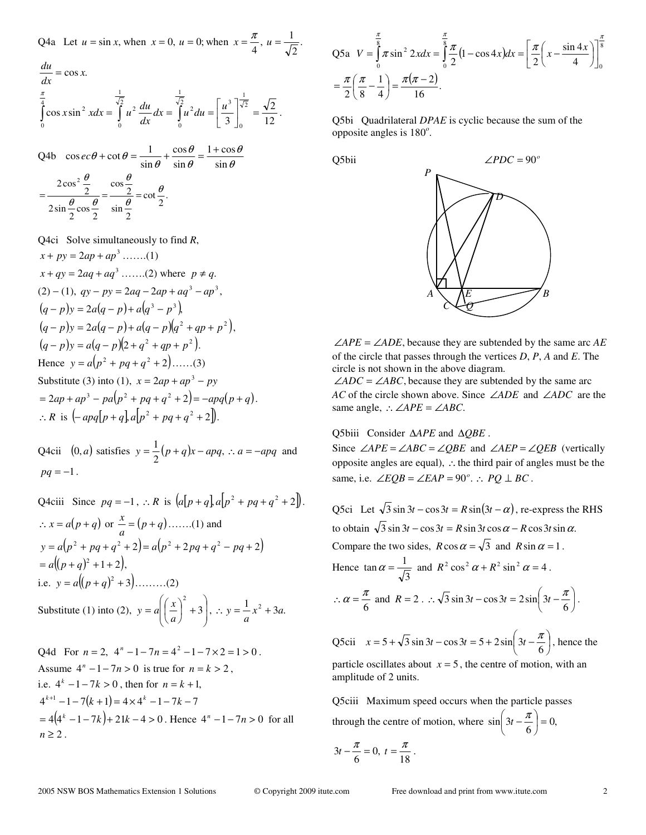Q4a Let  $u = \sin x$ , when  $x = 0$ ,  $u = 0$ ; when  $x = \frac{2}{4}$ ,  $x=\frac{\pi}{4}, u=\frac{1}{\sqrt{4}}$ . 2  $u = \frac{1}{\sqrt{2}}$ 

$$
\frac{du}{dx} = \cos x.
$$
\n
$$
\int_{0}^{\frac{\pi}{4}} \cos x \sin^2 x dx = \int_{0}^{\frac{1}{\sqrt{2}}} u^2 \frac{du}{dx} dx = \int_{0}^{\frac{1}{\sqrt{2}}} u^2 du = \left[ \frac{u^3}{3} \right]_{0}^{\frac{1}{\sqrt{2}}} = \frac{\sqrt{2}}{12}.
$$

Q4b  $\cos ec\theta + \cot\theta = \frac{1}{\sin\theta} + \frac{\cos\theta}{\sin\theta} = \frac{1 + \cos\theta}{\sin\theta}$ θ θ θ  $\theta$  + cot  $\theta$  =  $\frac{1}{\sin \theta}$  +  $\frac{\csc \theta}{\sin \theta}$  =  $\frac{1}{\sin \theta}$  $1 + \cos$ sin cos sin  $\cos ec\theta + \cot\theta = \frac{1}{\cos\theta} + \frac{\cos\theta}{\cos\theta} = \frac{1+}{\cos\theta}$ 

$$
= \frac{2\cos^2{\frac{\theta}{2}}}{2\sin{\frac{\theta}{2}}\cos{\frac{\theta}{2}}} = \frac{\cos{\frac{\theta}{2}}}{\sin{\frac{\theta}{2}}} = \cot{\frac{\theta}{2}}.
$$

Q4ci Solve simultaneously to find *R*,

$$
x + py = 2ap + ap3........(1)
$$
  
\n
$$
x + qy = 2aq + aq3........(2) where p \neq q.
$$
  
\n(2) - (1),  $qy - py = 2aq - 2ap + aq3 - ap3,$   
\n
$$
(q - p)y = 2a(q - p) + a(q3 - p3),
$$
  
\n
$$
(q - p)y = 2a(q - p) + a(q - p)(q2 + qp + p2),
$$
  
\n
$$
(q - p)y = a(q - p)(2 + q2 + qp + p2).
$$
  
\nHence  $y = a(p2 + pq + q2 + 2)......(3)$   
\nSubstitute (3) into (1),  $x = 2ap + ap3 - py$   
\n
$$
= 2ap + ap3 - pa(p2 + pq + q2 + 2) = -apq(p + q).
$$
  
\n
$$
\therefore R \text{ is } (-apq[p + q]a[p2 + pq + q2 + 2]).
$$

Q4cii  $(0, a)$  satisfies  $y = \frac{1}{2}(p+q)x - apq$ ,  $y = \frac{1}{2}(p+q)x - apq$ , ∴  $a = -apq$  and  $pq = -1$ .

Q4ciii Since  $pq = -1$ ,  $\therefore R$  is  $\left[a\left(p+q\right], a\left(p^2+p q+q^2+2\right]\right)$ .  $\therefore$   $x = a(p+q)$  or  $\frac{x}{a} = (p+q)$  $\frac{x}{p} = (p + q)$ .......(1) and  $(y = a(p^2 + pq + q^2 + 2) = a(p^2 + 2pq + q^2 - pq + 2)$  $= a((p+q)^2 + 1 + 2),$ i.e.  $y = a((p+q)^2 + 3)$ .........(2) Substitute (1) into (2),  $y = a \left| \left( \frac{x}{a} \right) \right| + 3$ J  $\backslash$ L  $\mathsf{I}$ l ſ  $\Big\}$  +  $\left(\frac{x}{x}\right)$ l  $=a\left(\frac{x}{2}\right)^2+3$ 2 *a*  $y = a \left( \left( \frac{x}{a} \right)^2 + 3 \right), \therefore y = \frac{1}{a} x^2 + 3a.$ 

Q4d For 
$$
n = 2
$$
,  $4^n - 1 - 7n = 4^2 - 1 - 7 \times 2 = 1 > 0$ .  
\nAssume  $4^n - 1 - 7n > 0$  is true for  $n = k > 2$ ,  
\ni.e.  $4^k - 1 - 7k > 0$ , then for  $n = k + 1$ ,  
\n $4^{k+1} - 1 - 7(k+1) = 4 \times 4^k - 1 - 7k - 7$   
\n $= 4(4^k - 1 - 7k) + 21k - 4 > 0$ . Hence  $4^n - 1 - 7n > 0$  for all  $n \ge 2$ .

Q5a 
$$
V = \int_{0}^{\frac{\pi}{8}} \pi \sin^2 2x dx = \int_{0}^{\frac{\pi}{8}} \frac{\pi}{2} (1 - \cos 4x) dx = \left[ \frac{\pi}{2} \left( x - \frac{\sin 4x}{4} \right) \right]_{0}^{\frac{\pi}{8}}
$$
  
=  $\frac{\pi}{2} \left( \frac{\pi}{8} - \frac{1}{4} \right) = \frac{\pi (\pi - 2)}{16}.$ 

Q5bi Quadrilateral *DPAE* is cyclic because the sum of the opposite angles is  $180^\circ$ .

Q5bii



∠*APE* = ∠*ADE*, because they are subtended by the same arc *AE* of the circle that passes through the vertices *D*, *P*, *A* and *E*. The circle is not shown in the above diagram.

 $\angle ADC = \angle ABC$ , because they are subtended by the same arc *AC* of the circle shown above. Since ∠*ADE* and ∠*ADC* are the same angle, ∴∠*APE* = ∠*ABC*.

Q5biii Consider ∆*APE* and ∆*QBE* .

Since  $\angle APE = \angle ABC = \angle OBE$  and  $\angle AEP = \angle OEB$  (vertically opposite angles are equal), ∴the third pair of angles must be the same, i.e.  $\angle EQB = \angle EAP = 90^\circ$ .  $\therefore PQ \perp BC$ .

Q5ci Let 
$$
\sqrt{3} \sin 3t - \cos 3t = R \sin(3t - \alpha)
$$
, re-express the RHS  
to obtain  $\sqrt{3} \sin 3t - \cos 3t = R \sin 3t \cos \alpha - R \cos 3t \sin \alpha$ .  
Compare the two sides,  $R \cos \alpha = \sqrt{3}$  and  $R \sin \alpha = 1$ .  
Hence  $\tan \alpha = \frac{1}{\sqrt{3}}$  and  $R^2 \cos^2 \alpha + R^2 \sin^2 \alpha = 4$ .  
 $\therefore \alpha = \frac{\pi}{6}$  and  $R = 2$ .  $\therefore \sqrt{3} \sin 3t - \cos 3t = 2 \sin \left(3t - \frac{\pi}{6}\right)$ .

Q5cii  $x = 5 + \sqrt{3} \sin 3t - \cos 3t = 5 + 2 \sin \left(3t - \frac{\pi}{6}\right)$  $\left(3t-\frac{\pi}{2}\right)$ l  $x = 5 + \sqrt{3} \sin 3t - \cos 3t = 5 + 2 \sin \left(3t - \frac{\pi}{6}\right)$ , hence the particle oscillates about  $x = 5$ , the centre of motion, with an amplitude of 2 units.

Q5ciii Maximum speed occurs when the particle passes through the centre of motion, where  $\sin \left( 3t - \frac{\pi}{6} \right) = 0$ ,  $\left(3t-\frac{\pi}{2}\right)$ l  $\int 3t - \frac{\pi}{6}$ 

$$
3t - \frac{\pi}{6} = 0, \ t = \frac{\pi}{18} \ .
$$